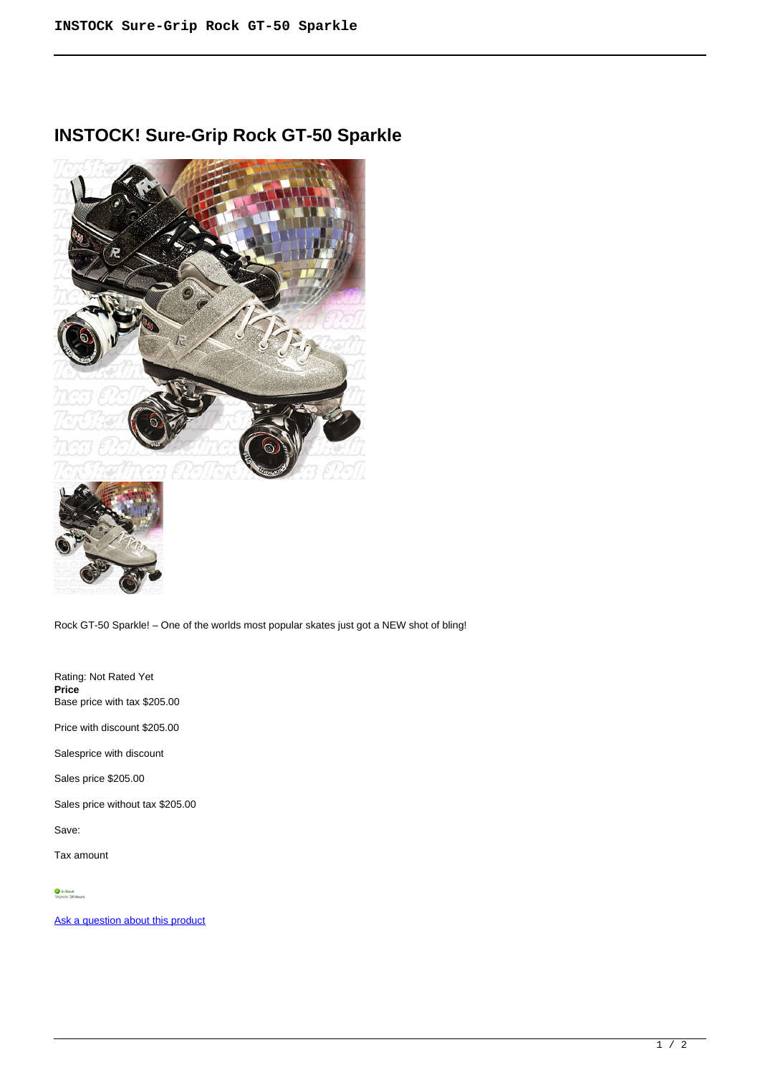# **INSTOCK! Sure-Grip Rock GT-50 Sparkle**



Rock GT-50 Sparkle! – One of the worlds most popular skates just got a NEW shot of bling!

Rating: Not Rated Yet **Price**  Base price with tax \$205.00

Price with discount \$205.00

Salesprice with discount

Sales price \$205.00

Sales price without tax \$205.00

Save:

Tax amount

[Ask a question about this product](https://rollerskatin.ca/index.php?option=com_virtuemart&view=productdetails&task=askquestion&virtuemart_product_id=1047&virtuemart_category_id=28&tmpl=component)